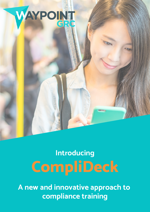

## **CompliDeck Introducing**

**A new and innovative approach to compliance training**